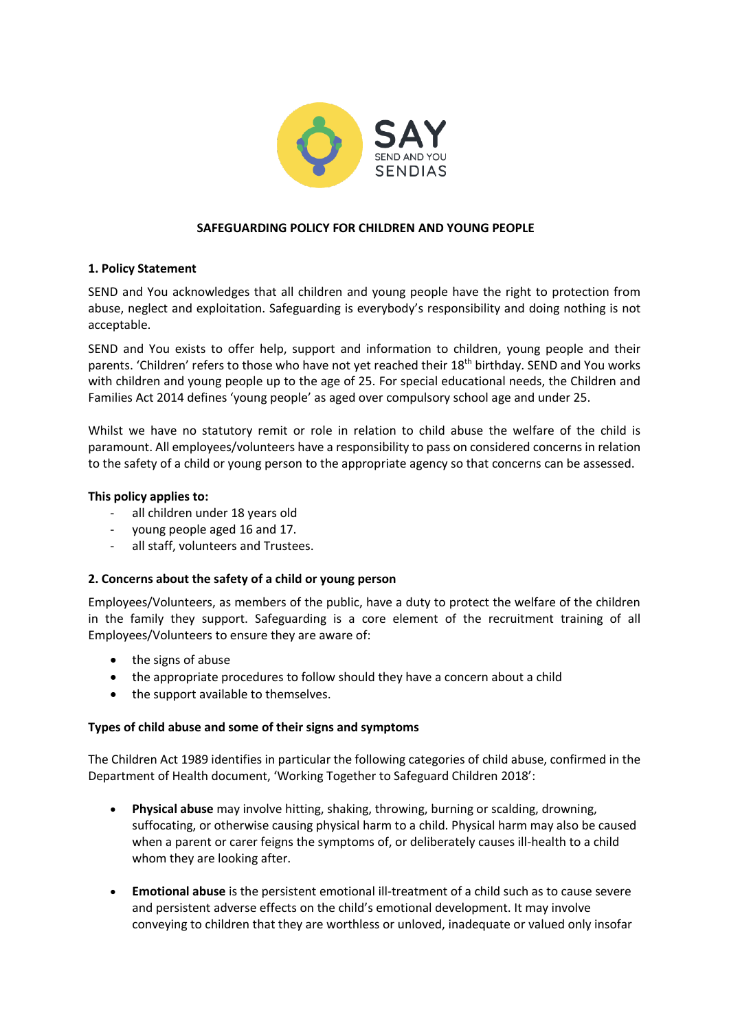

# **SAFEGUARDING POLICY FOR CHILDREN AND YOUNG PEOPLE**

# **1. Policy Statement**

SEND and You acknowledges that all children and young people have the right to protection from abuse, neglect and exploitation. Safeguarding is everybody's responsibility and doing nothing is not acceptable.

SEND and You exists to offer help, support and information to children, young people and their parents. 'Children' refers to those who have not yet reached their 18<sup>th</sup> birthday. SEND and You works with children and young people up to the age of 25. For special educational needs, the Children and Families Act 2014 defines 'young people' as aged over compulsory school age and under 25.

Whilst we have no statutory remit or role in relation to child abuse the welfare of the child is paramount. All employees/volunteers have a responsibility to pass on considered concerns in relation to the safety of a child or young person to the appropriate agency so that concerns can be assessed.

# **This policy applies to:**

- all children under 18 years old
- young people aged 16 and 17.
- all staff, volunteers and Trustees.

# **2. Concerns about the safety of a child or young person**

Employees/Volunteers, as members of the public, have a duty to protect the welfare of the children in the family they support. Safeguarding is a core element of the recruitment training of all Employees/Volunteers to ensure they are aware of:

- the signs of abuse
- the appropriate procedures to follow should they have a concern about a child
- the support available to themselves.

# **Types of child abuse and some of their signs and symptoms**

The Children Act 1989 identifies in particular the following categories of child abuse, confirmed in the Department of Health document, 'Working Together to Safeguard Children 2018':

- **Physical abuse** may involve hitting, shaking, throwing, burning or scalding, drowning, suffocating, or otherwise causing physical harm to a child. Physical harm may also be caused when a parent or carer feigns the symptoms of, or deliberately causes ill-health to a child whom they are looking after.
- **Emotional abuse** is the persistent emotional ill-treatment of a child such as to cause severe and persistent adverse effects on the child's emotional development. It may involve conveying to children that they are worthless or unloved, inadequate or valued only insofar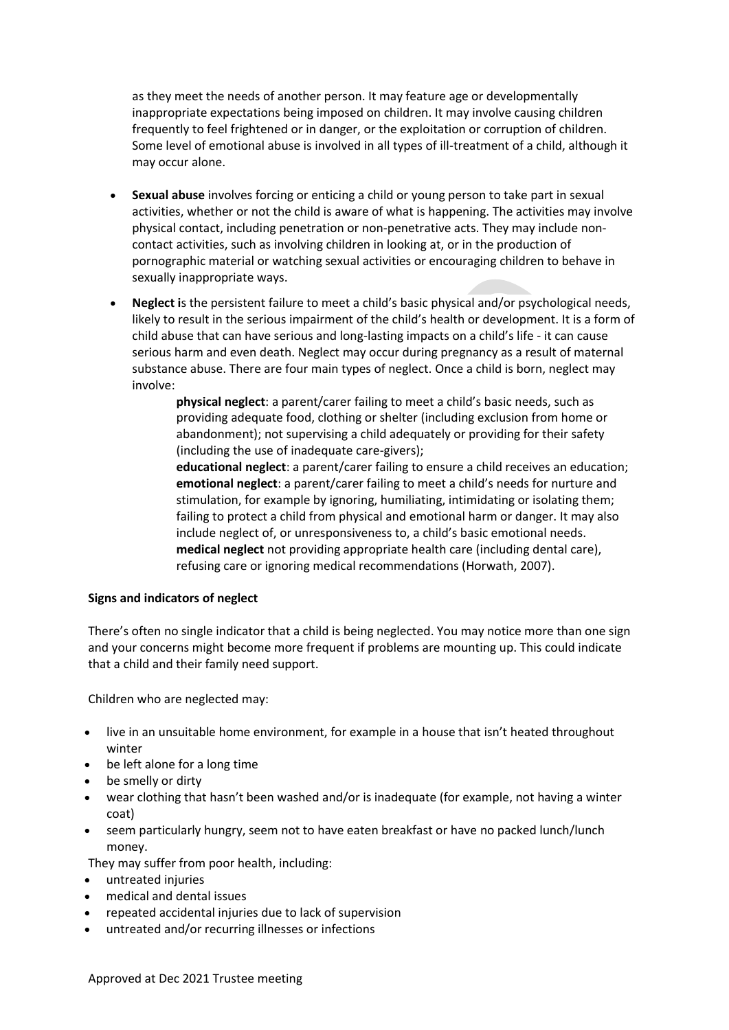as they meet the needs of another person. It may feature age or developmentally inappropriate expectations being imposed on children. It may involve causing children frequently to feel frightened or in danger, or the exploitation or corruption of children. Some level of emotional abuse is involved in all types of ill-treatment of a child, although it may occur alone.

- **Sexual abuse** involves forcing or enticing a child or young person to take part in sexual activities, whether or not the child is aware of what is happening. The activities may involve physical contact, including penetration or non-penetrative acts. They may include noncontact activities, such as involving children in looking at, or in the production of pornographic material or watching sexual activities or encouraging children to behave in sexually inappropriate ways.
- **Neglect i**s the persistent failure to meet a child's basic physical and/or psychological needs, likely to result in the serious impairment of the child's health or development. It is a form of child abuse that can have serious and long-lasting impacts on a child's life - it can cause serious harm and even death. Neglect may occur during pregnancy as a result of maternal substance abuse. There are four main types of neglect. Once a child is born, neglect may involve:

**physical neglect**: a parent/carer failing to meet a child's basic needs, such as providing adequate food, clothing or shelter (including exclusion from home or abandonment); not supervising a child adequately or providing for their safety (including the use of inadequate care-givers);

**educational neglect**: a parent/carer failing to ensure a child receives an education; **emotional neglect**: a parent/carer failing to meet a child's needs for nurture and stimulation, for example by ignoring, humiliating, intimidating or isolating them; failing to protect a child from physical and emotional harm or danger. It may also include neglect of, or unresponsiveness to, a child's basic emotional needs. **medical neglect** not providing appropriate health care (including dental care), refusing care or ignoring medical recommendations (Horwath, 2007).

# **Signs and indicators of neglect**

There's often no single indicator that a child is being neglected. You may notice more than one sign and your concerns might become more frequent if problems are mounting up. This could indicate that a child and their family need support.

Children who are neglected may:

- live in an unsuitable home environment, for example in a house that isn't heated throughout winter
- **be left alone for a long time**
- be smelly or dirty
- wear clothing that hasn't been washed and/or is inadequate (for example, not having a winter coat)
- seem particularly hungry, seem not to have eaten breakfast or have no packed lunch/lunch money.

They may suffer from poor health, including:

- untreated injuries
- medical and dental issues
- repeated accidental injuries due to lack of supervision
- untreated and/or recurring illnesses or infections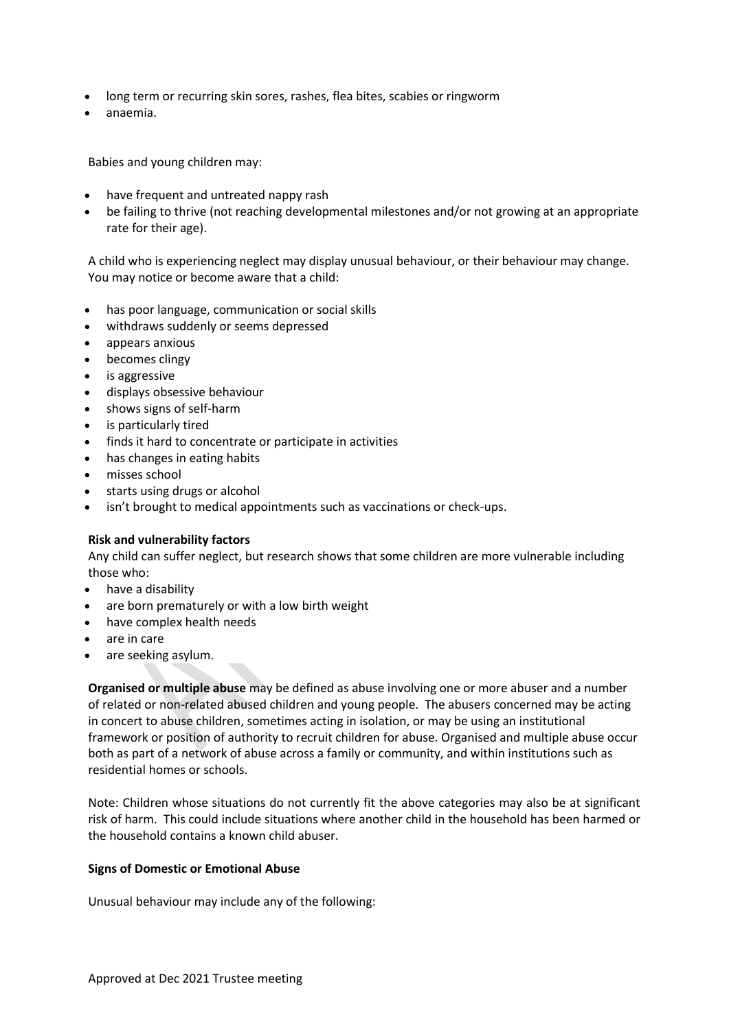- long term or recurring skin sores, rashes, flea bites, scabies or ringworm
- anaemia.

Babies and young children may:

- have frequent and untreated nappy rash
- be failing to thrive (not reaching developmental milestones and/or not growing at an appropriate rate for their age).

A child who is experiencing neglect may display unusual behaviour, or their behaviour may change. You may notice or become aware that a child:

- has poor language, communication or social skills
- withdraws suddenly or seems depressed
- appears anxious
- becomes clingy
- is aggressive
- displays obsessive behaviour
- shows signs of self-harm
- is particularly tired
- finds it hard to concentrate or participate in activities
- has changes in eating habits
- misses school
- starts using drugs or alcohol
- isn't brought to medical appointments such as vaccinations or check-ups.

# **Risk and vulnerability factors**

Any child can suffer neglect, but research shows that some children are more vulnerable including those who:

- have a disability
- are born prematurely or with a low birth weight
- have complex health needs
- are in care
- are seeking asylum.

**Organised or multiple abuse** may be defined as abuse involving one or more abuser and a number of related or non-related abused children and young people. The abusers concerned may be acting in concert to abuse children, sometimes acting in isolation, or may be using an institutional framework or position of authority to recruit children for abuse. Organised and multiple abuse occur both as part of a network of abuse across a family or community, and within institutions such as residential homes or schools.

Note: Children whose situations do not currently fit the above categories may also be at significant risk of harm. This could include situations where another child in the household has been harmed or the household contains a known child abuser.

# **Signs of Domestic or Emotional Abuse**

Unusual behaviour may include any of the following: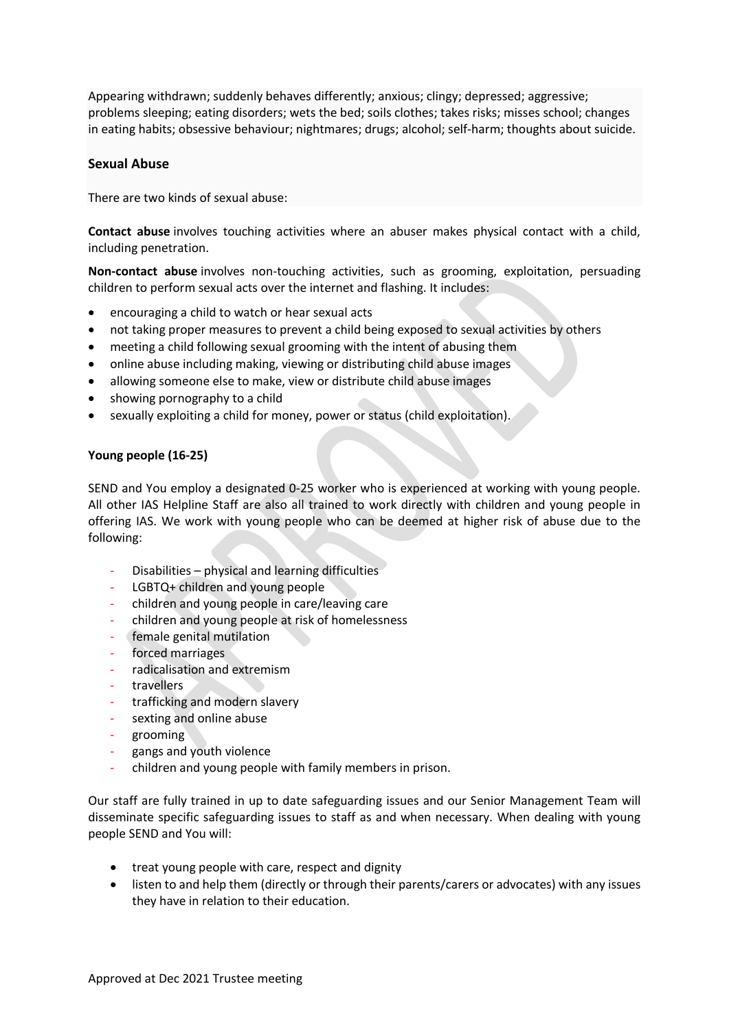Appearing withdrawn; suddenly behaves differently; anxious; clingy; depressed; aggressive; problems sleeping; eating disorders; wets the bed; soils clothes; takes risks; misses school; changes in eating habits; obsessive behaviour; nightmares; drugs; alcohol; self-harm; thoughts about suicide.

# **Sexual Abuse**

There are two kinds of sexual abuse:

**Contact abuse** involves touching activities where an abuser makes physical contact with a child, including penetration.

**Non-contact abuse** involves non-touching activities, such as grooming, exploitation, persuading children to perform sexual acts over the internet and flashing. It includes:

- encouraging a child to watch or hear sexual acts
- not taking proper measures to prevent a child being exposed to sexual activities by others
- meeting a child following sexual grooming with the intent of abusing them
- online abuse including making, viewing or distributing child abuse images
- allowing someone else to make, view or distribute child abuse images
- showing pornography to a child
- sexually exploiting a child for money, power or status (child exploitation).

# **Young people (16-25)**

SEND and You employ a designated 0-25 worker who is experienced at working with young people. All other IAS Helpline Staff are also all trained to work directly with children and young people in offering IAS. We work with young people who can be deemed at higher risk of abuse due to the following:

- Disabilities physical and learning difficulties
- LGBTQ+ children and young people
- children and young people in care/leaving care
- children and young people at risk of homelessness
- female genital mutilation
- forced marriages
- radicalisation and extremism
- **travellers**
- trafficking and modern slavery
- sexting and online abuse
- grooming
- gangs and youth violence
- children and young people with family members in prison.

Our staff are fully trained in up to date safeguarding issues and our Senior Management Team will disseminate specific safeguarding issues to staff as and when necessary. When dealing with young people SEND and You will:

- treat young people with care, respect and dignity
- listen to and help them (directly or through their parents/carers or advocates) with any issues they have in relation to their education.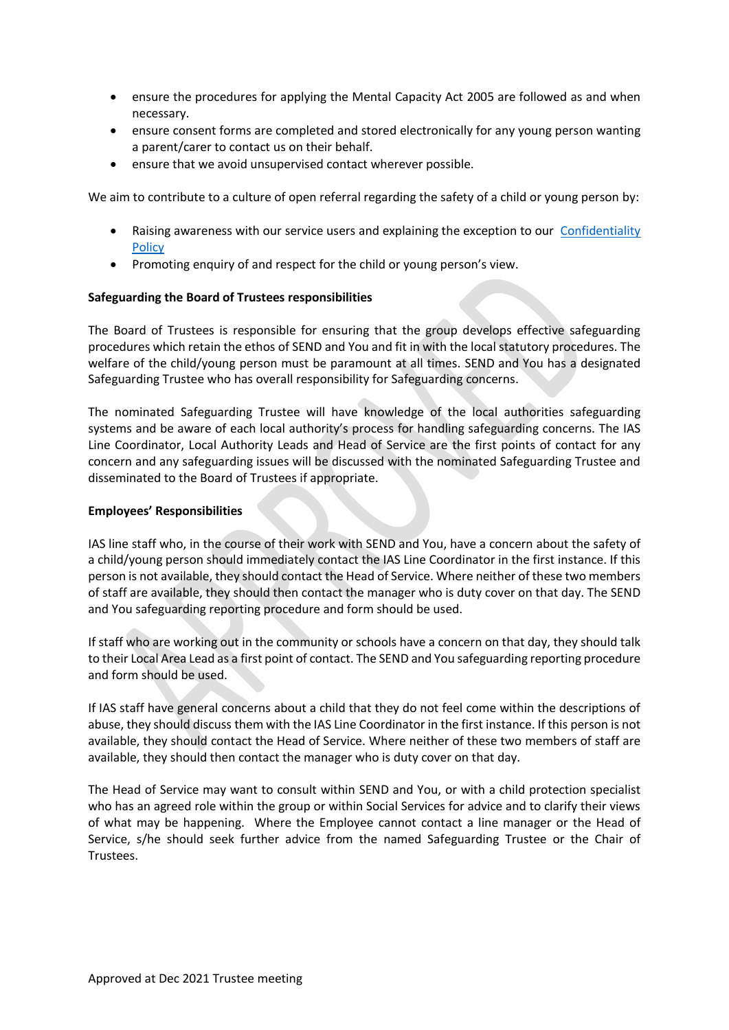- ensure the procedures for applying the Mental Capacity Act 2005 are followed as and when necessary.
- ensure consent forms are completed and stored electronically for any young person wanting a parent/carer to contact us on their behalf.
- ensure that we avoid unsupervised contact wherever possible.

We aim to contribute to a culture of open referral regarding the safety of a child or young person by:

- Raising awareness with our service users and explaining the exception to our [Confidentiality](http://static1.1.sqspcdn.com/static/f/1135978/21645555/1358253873677/Confidentiality+Policy.pdf?token=UDykluJhPEYZaWUyXo49pty9Sjc%3D)  **[Policy](http://static1.1.sqspcdn.com/static/f/1135978/21645555/1358253873677/Confidentiality+Policy.pdf?token=UDykluJhPEYZaWUyXo49pty9Sjc%3D)**
- Promoting enquiry of and respect for the child or young person's view.

# **Safeguarding the Board of Trustees responsibilities**

The Board of Trustees is responsible for ensuring that the group develops effective safeguarding procedures which retain the ethos of SEND and You and fit in with the local statutory procedures. The welfare of the child/young person must be paramount at all times. SEND and You has a designated Safeguarding Trustee who has overall responsibility for Safeguarding concerns.

The nominated Safeguarding Trustee will have knowledge of the local authorities safeguarding systems and be aware of each local authority's process for handling safeguarding concerns. The IAS Line Coordinator, Local Authority Leads and Head of Service are the first points of contact for any concern and any safeguarding issues will be discussed with the nominated Safeguarding Trustee and disseminated to the Board of Trustees if appropriate.

# **Employees' Responsibilities**

IAS line staff who, in the course of their work with SEND and You, have a concern about the safety of a child/young person should immediately contact the IAS Line Coordinator in the first instance. If this person is not available, they should contact the Head of Service. Where neither of these two members of staff are available, they should then contact the manager who is duty cover on that day. The SEND and You safeguarding reporting procedure and form should be used.

If staff who are working out in the community or schools have a concern on that day, they should talk to their Local Area Lead as a first point of contact. The SEND and You safeguarding reporting procedure and form should be used.

If IAS staff have general concerns about a child that they do not feel come within the descriptions of abuse, they should discuss them with the IAS Line Coordinator in the first instance. If this person is not available, they should contact the Head of Service. Where neither of these two members of staff are available, they should then contact the manager who is duty cover on that day.

The Head of Service may want to consult within SEND and You, or with a child protection specialist who has an agreed role within the group or within Social Services for advice and to clarify their views of what may be happening. Where the Employee cannot contact a line manager or the Head of Service, s/he should seek further advice from the named Safeguarding Trustee or the Chair of Trustees.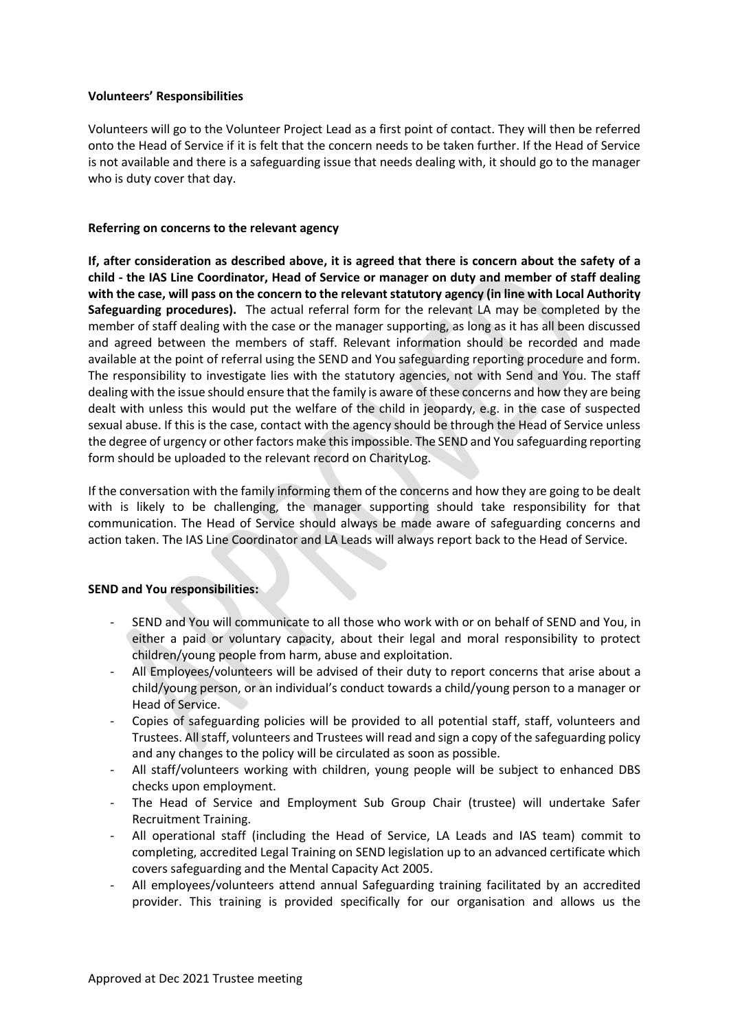# **Volunteers' Responsibilities**

Volunteers will go to the Volunteer Project Lead as a first point of contact. They will then be referred onto the Head of Service if it is felt that the concern needs to be taken further. If the Head of Service is not available and there is a safeguarding issue that needs dealing with, it should go to the manager who is duty cover that day.

# **Referring on concerns to the relevant agency**

**If, after consideration as described above, it is agreed that there is concern about the safety of a child - the IAS Line Coordinator, Head of Service or manager on duty and member of staff dealing with the case, will pass on the concern to the relevant statutory agency (in line with Local Authority Safeguarding procedures).** The actual referral form for the relevant LA may be completed by the member of staff dealing with the case or the manager supporting, as long as it has all been discussed and agreed between the members of staff. Relevant information should be recorded and made available at the point of referral using the SEND and You safeguarding reporting procedure and form. The responsibility to investigate lies with the statutory agencies, not with Send and You. The staff dealing with the issue should ensure that the family is aware of these concerns and how they are being dealt with unless this would put the welfare of the child in jeopardy, e.g. in the case of suspected sexual abuse. If this is the case, contact with the agency should be through the Head of Service unless the degree of urgency or other factors make this impossible. The SEND and You safeguarding reporting form should be uploaded to the relevant record on CharityLog.

If the conversation with the family informing them of the concerns and how they are going to be dealt with is likely to be challenging, the manager supporting should take responsibility for that communication. The Head of Service should always be made aware of safeguarding concerns and action taken. The IAS Line Coordinator and LA Leads will always report back to the Head of Service.

# **SEND and You responsibilities:**

- SEND and You will communicate to all those who work with or on behalf of SEND and You, in either a paid or voluntary capacity, about their legal and moral responsibility to protect children/young people from harm, abuse and exploitation.
- All Employees/volunteers will be advised of their duty to report concerns that arise about a child/young person, or an individual's conduct towards a child/young person to a manager or Head of Service.
- Copies of safeguarding policies will be provided to all potential staff, staff, volunteers and Trustees. All staff, volunteers and Trustees will read and sign a copy of the safeguarding policy and any changes to the policy will be circulated as soon as possible.
- All staff/volunteers working with children, young people will be subject to enhanced DBS checks upon employment.
- The Head of Service and Employment Sub Group Chair (trustee) will undertake Safer Recruitment Training.
- All operational staff (including the Head of Service, LA Leads and IAS team) commit to completing, accredited Legal Training on SEND legislation up to an advanced certificate which covers safeguarding and the Mental Capacity Act 2005.
- All employees/volunteers attend annual Safeguarding training facilitated by an accredited provider. This training is provided specifically for our organisation and allows us the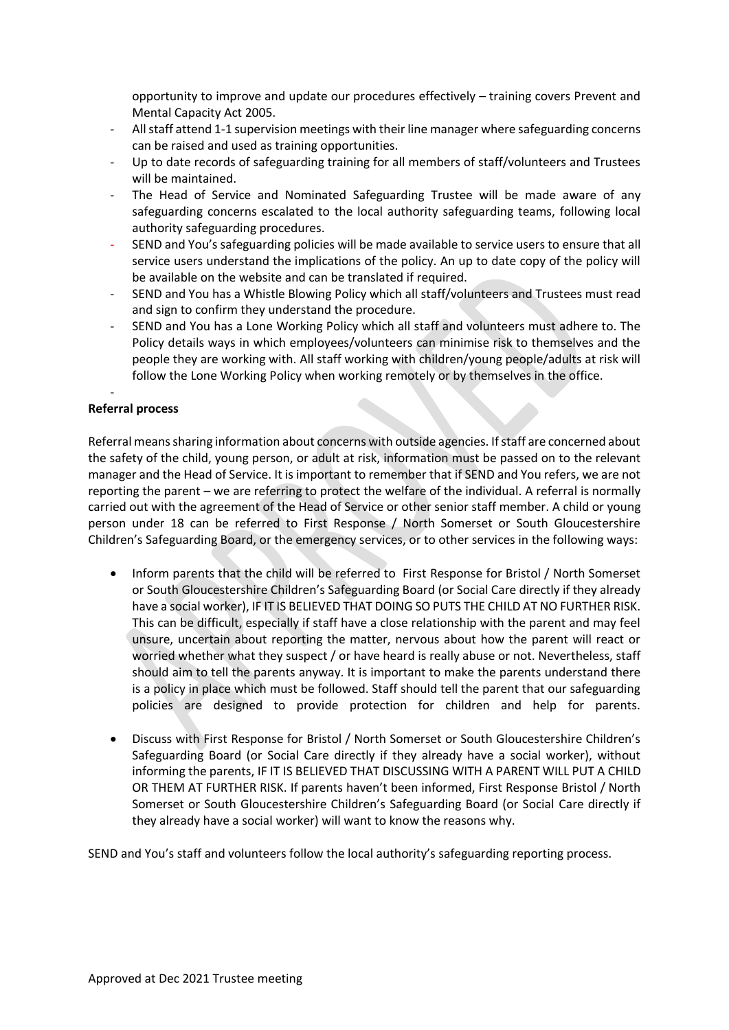opportunity to improve and update our procedures effectively – training covers Prevent and Mental Capacity Act 2005.

- All staff attend 1-1 supervision meetings with their line manager where safeguarding concerns can be raised and used as training opportunities.
- Up to date records of safeguarding training for all members of staff/volunteers and Trustees will be maintained.
- The Head of Service and Nominated Safeguarding Trustee will be made aware of any safeguarding concerns escalated to the local authority safeguarding teams, following local authority safeguarding procedures.
- SEND and You's safeguarding policies will be made available to service users to ensure that all service users understand the implications of the policy. An up to date copy of the policy will be available on the website and can be translated if required.
- SEND and You has a Whistle Blowing Policy which all staff/volunteers and Trustees must read and sign to confirm they understand the procedure.
- SEND and You has a Lone Working Policy which all staff and volunteers must adhere to. The Policy details ways in which employees/volunteers can minimise risk to themselves and the people they are working with. All staff working with children/young people/adults at risk will follow the Lone Working Policy when working remotely or by themselves in the office.

#### - **Referral process**

Referral means sharing information about concerns with outside agencies. If staff are concerned about the safety of the child, young person, or adult at risk, information must be passed on to the relevant manager and the Head of Service. It is important to remember that if SEND and You refers, we are not reporting the parent – we are referring to protect the welfare of the individual. A referral is normally carried out with the agreement of the Head of Service or other senior staff member. A child or young person under 18 can be referred to First Response / North Somerset or South Gloucestershire Children's Safeguarding Board, or the emergency services, or to other services in the following ways:

- Inform parents that the child will be referred to First Response for Bristol / North Somerset or South Gloucestershire Children's Safeguarding Board (or Social Care directly if they already have a social worker), IF IT IS BELIEVED THAT DOING SO PUTS THE CHILD AT NO FURTHER RISK. This can be difficult, especially if staff have a close relationship with the parent and may feel unsure, uncertain about reporting the matter, nervous about how the parent will react or worried whether what they suspect / or have heard is really abuse or not. Nevertheless, staff should aim to tell the parents anyway. It is important to make the parents understand there is a policy in place which must be followed. Staff should tell the parent that our safeguarding policies are designed to provide protection for children and help for parents.
- Discuss with First Response for Bristol / North Somerset or South Gloucestershire Children's Safeguarding Board (or Social Care directly if they already have a social worker), without informing the parents, IF IT IS BELIEVED THAT DISCUSSING WITH A PARENT WILL PUT A CHILD OR THEM AT FURTHER RISK. If parents haven't been informed, First Response Bristol / North Somerset or South Gloucestershire Children's Safeguarding Board (or Social Care directly if they already have a social worker) will want to know the reasons why.

SEND and You's staff and volunteers follow the local authority's safeguarding reporting process.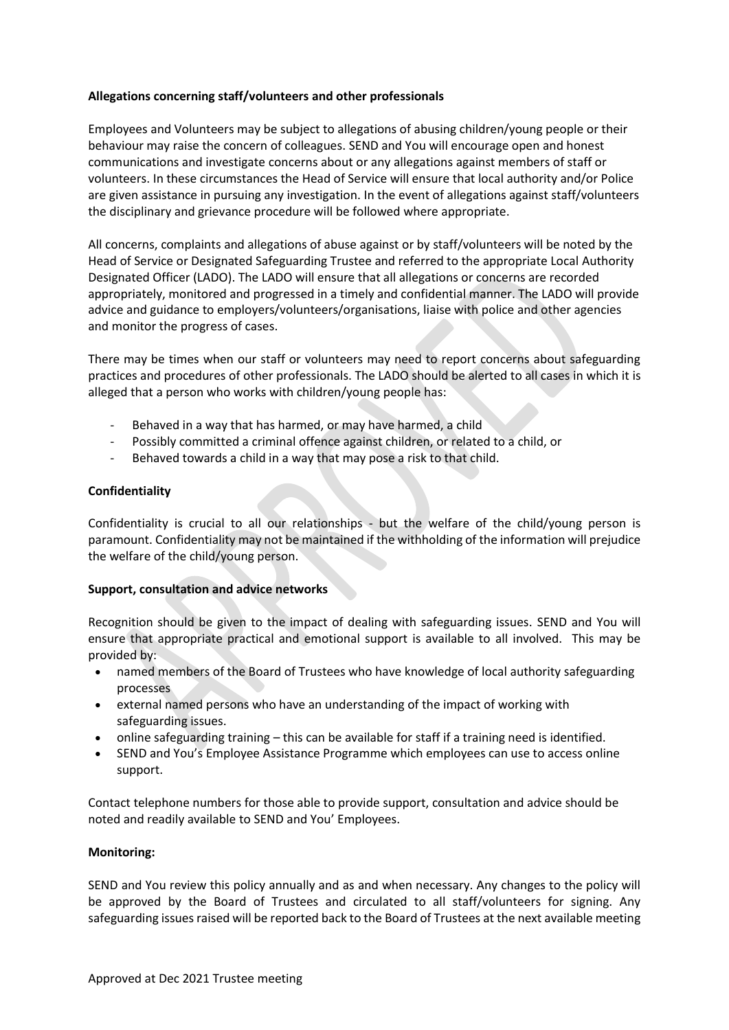# **Allegations concerning staff/volunteers and other professionals**

Employees and Volunteers may be subject to allegations of abusing children/young people or their behaviour may raise the concern of colleagues. SEND and You will encourage open and honest communications and investigate concerns about or any allegations against members of staff or volunteers. In these circumstances the Head of Service will ensure that local authority and/or Police are given assistance in pursuing any investigation. In the event of allegations against staff/volunteers the disciplinary and grievance procedure will be followed where appropriate.

All concerns, complaints and allegations of abuse against or by staff/volunteers will be noted by the Head of Service or Designated Safeguarding Trustee and referred to the appropriate Local Authority Designated Officer (LADO). The LADO will ensure that all allegations or concerns are recorded appropriately, monitored and progressed in a timely and confidential manner. The LADO will provide advice and guidance to employers/volunteers/organisations, liaise with police and other agencies and monitor the progress of cases.

There may be times when our staff or volunteers may need to report concerns about safeguarding practices and procedures of other professionals. The LADO should be alerted to all cases in which it is alleged that a person who works with children/young people has:

- Behaved in a way that has harmed, or may have harmed, a child
- Possibly committed a criminal offence against children, or related to a child, or
- Behaved towards a child in a way that may pose a risk to that child.

# **Confidentiality**

Confidentiality is crucial to all our relationships - but the welfare of the child/young person is paramount. Confidentiality may not be maintained if the withholding of the information will prejudice the welfare of the child/young person.

# **Support, consultation and advice networks**

Recognition should be given to the impact of dealing with safeguarding issues. SEND and You will ensure that appropriate practical and emotional support is available to all involved. This may be provided by:

- named members of the Board of Trustees who have knowledge of local authority safeguarding processes
- external named persons who have an understanding of the impact of working with safeguarding issues.
- online safeguarding training this can be available for staff if a training need is identified.
- SEND and You's Employee Assistance Programme which employees can use to access online support.

Contact telephone numbers for those able to provide support, consultation and advice should be noted and readily available to SEND and You' Employees.

# **Monitoring:**

SEND and You review this policy annually and as and when necessary. Any changes to the policy will be approved by the Board of Trustees and circulated to all staff/volunteers for signing. Any safeguarding issues raised will be reported back to the Board of Trustees at the next available meeting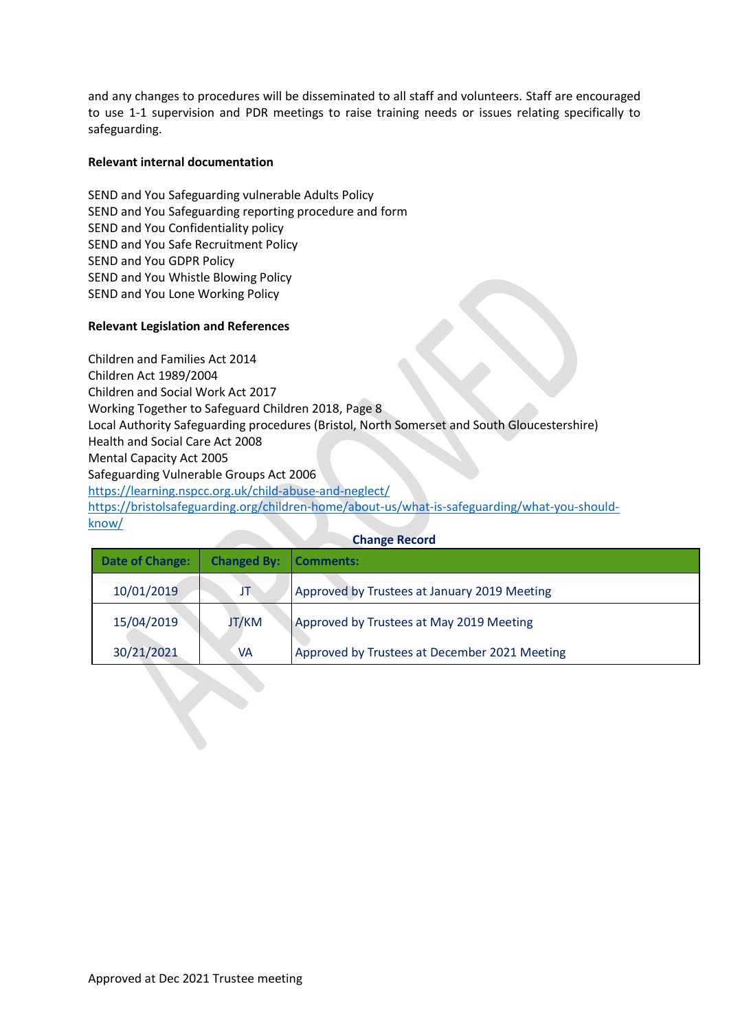and any changes to procedures will be disseminated to all staff and volunteers. Staff are encouraged to use 1-1 supervision and PDR meetings to raise training needs or issues relating specifically to safeguarding.

# **Relevant internal documentation**

SEND and You Safeguarding vulnerable Adults Policy SEND and You Safeguarding reporting procedure and form SEND and You Confidentiality policy SEND and You Safe Recruitment Policy SEND and You GDPR Policy SEND and You Whistle Blowing Policy SEND and You Lone Working Policy

# **Relevant Legislation and References**

Children and Families Act 2014 Children Act 1989/2004 Children and Social Work Act 2017 Working Together to Safeguard Children 2018, Page 8 Local Authority Safeguarding procedures (Bristol, North Somerset and South Gloucestershire) Health and Social Care Act 2008 Mental Capacity Act 2005 Safeguarding Vulnerable Groups Act 2006 <https://learning.nspcc.org.uk/child-abuse-and-neglect/> [https://bristolsafeguarding.org/children-home/about-us/what-is-safeguarding/what-you-should](https://bristolsafeguarding.org/children-home/about-us/what-is-safeguarding/what-you-should-know/)[know/](https://bristolsafeguarding.org/children-home/about-us/what-is-safeguarding/what-you-should-know/)

| <b>Date of Change:</b> | <b>Changed By:</b> | Comments:                                     |
|------------------------|--------------------|-----------------------------------------------|
| 10/01/2019             | JT                 | Approved by Trustees at January 2019 Meeting  |
| 15/04/2019             | JT/KM              | Approved by Trustees at May 2019 Meeting      |
| 30/21/2021             | VA                 | Approved by Trustees at December 2021 Meeting |

#### **Change Record**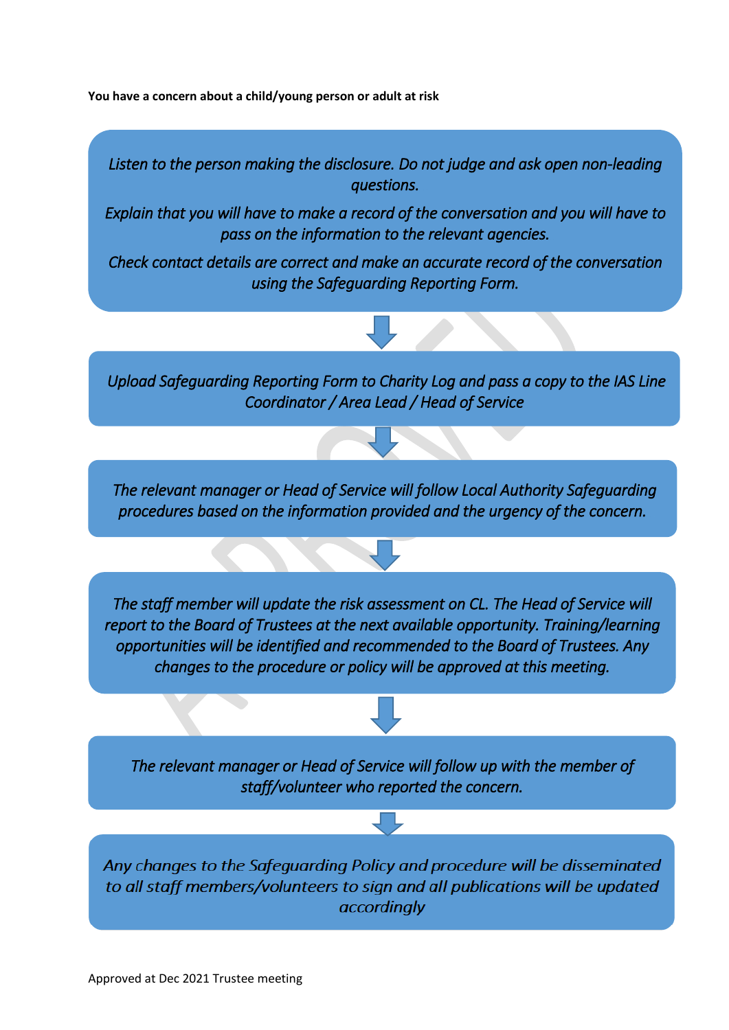**You have a concern about a child/young person or adult at risk**

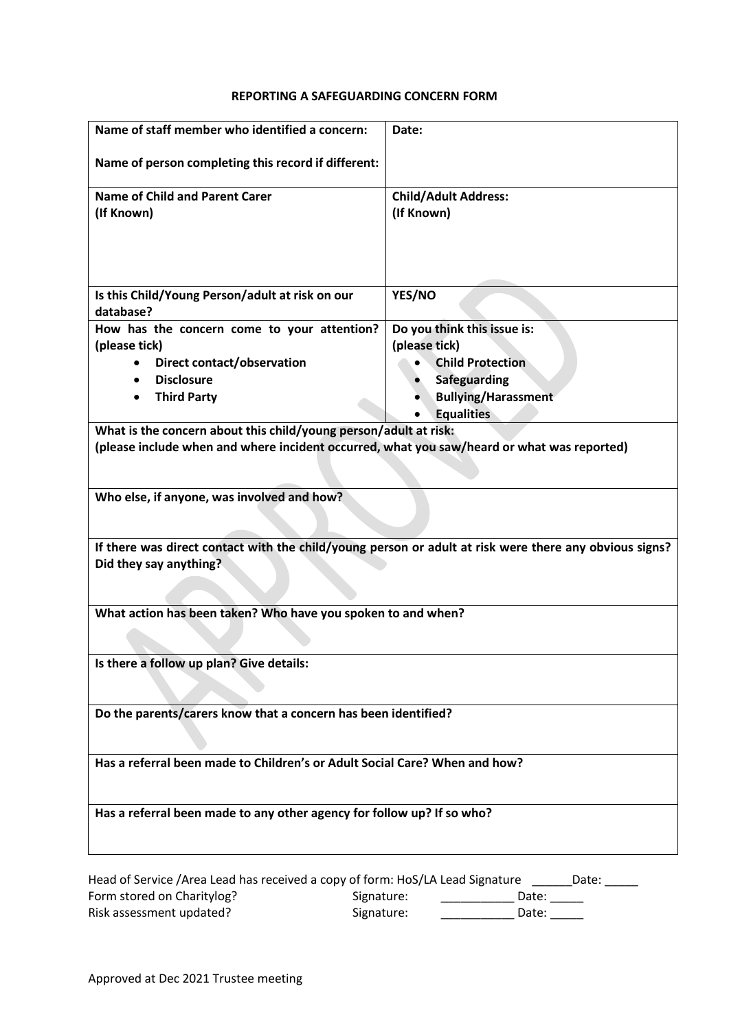#### **REPORTING A SAFEGUARDING CONCERN FORM**

| Name of staff member who identified a concern:                                                                                                                                                               | Date:                           |  |  |
|--------------------------------------------------------------------------------------------------------------------------------------------------------------------------------------------------------------|---------------------------------|--|--|
| Name of person completing this record if different:                                                                                                                                                          |                                 |  |  |
| <b>Name of Child and Parent Carer</b>                                                                                                                                                                        | <b>Child/Adult Address:</b>     |  |  |
| (If Known)                                                                                                                                                                                                   | (If Known)                      |  |  |
|                                                                                                                                                                                                              |                                 |  |  |
| Is this Child/Young Person/adult at risk on our<br>database?                                                                                                                                                 | YES/NO                          |  |  |
| How has the concern come to your attention?                                                                                                                                                                  | Do you think this issue is:     |  |  |
| (please tick)                                                                                                                                                                                                | (please tick)                   |  |  |
| Direct contact/observation                                                                                                                                                                                   | <b>Child Protection</b>         |  |  |
| <b>Disclosure</b>                                                                                                                                                                                            | Safeguarding                    |  |  |
| <b>Third Party</b>                                                                                                                                                                                           | <b>Bullying/Harassment</b>      |  |  |
|                                                                                                                                                                                                              | <b>Equalities</b>               |  |  |
| What is the concern about this child/young person/adult at risk:<br>(please include when and where incident occurred, what you saw/heard or what was reported)<br>Who else, if anyone, was involved and how? |                                 |  |  |
| If there was direct contact with the child/young person or adult at risk were there any obvious signs?<br>Did they say anything?                                                                             |                                 |  |  |
|                                                                                                                                                                                                              |                                 |  |  |
| What action has been taken? Who have you spoken to and when?                                                                                                                                                 |                                 |  |  |
| Is there a follow up plan? Give details:                                                                                                                                                                     |                                 |  |  |
| Do the parents/carers know that a concern has been identified?                                                                                                                                               |                                 |  |  |
| Has a referral been made to Children's or Adult Social Care? When and how?                                                                                                                                   |                                 |  |  |
| Has a referral been made to any other agency for follow up? If so who?                                                                                                                                       |                                 |  |  |
| Head of Service /Area Lead has received a copy of form: HoS/LA Lead Signature _______ Date:<br>Earm stared on Charitulage<br>Cian                                                                            | $D \rightarrow + \rightarrow +$ |  |  |

Form stored on Charitylog? The Signature: The Supermum Date: Letter Letter Letter Letter Letter Letter Letter Risk assessment updated? The Signature: The Signature: The Superman Date: Letter and Date: Letter A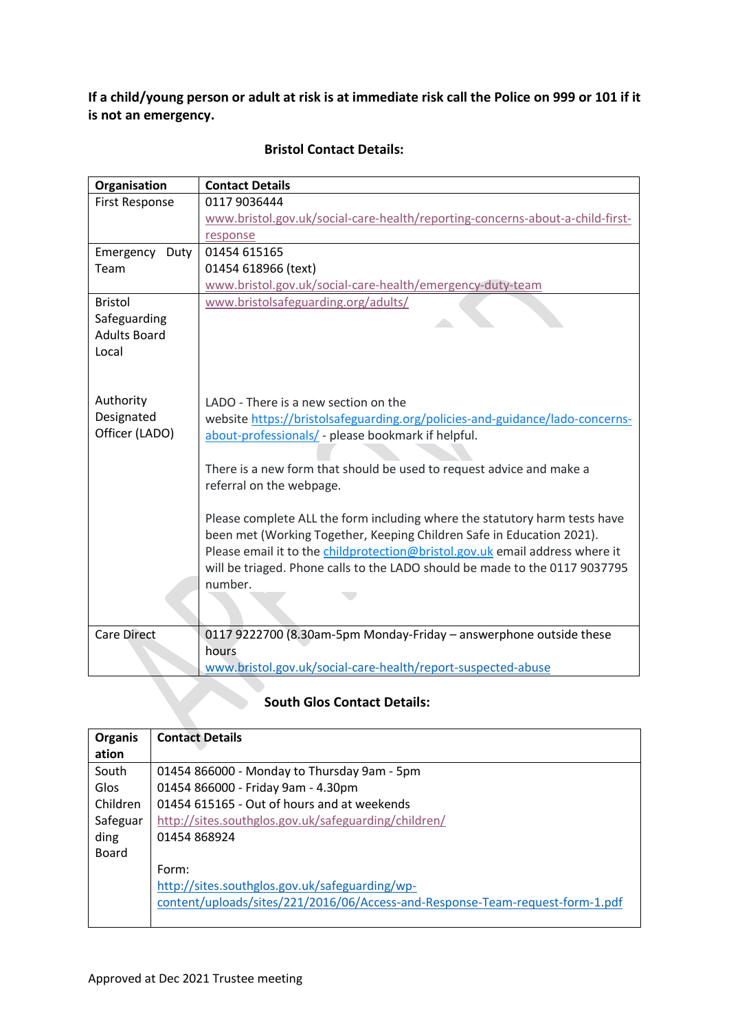**If a child/young person or adult at risk is at immediate risk call the Police on 999 or 101 if it is not an emergency.**

| Organisation          | <b>Contact Details</b>                                                        |  |  |
|-----------------------|-------------------------------------------------------------------------------|--|--|
| <b>First Response</b> | 0117 9036444                                                                  |  |  |
|                       | www.bristol.gov.uk/social-care-health/reporting-concerns-about-a-child-first- |  |  |
|                       | response                                                                      |  |  |
| Emergency<br>Duty     | 01454 615165                                                                  |  |  |
| Team                  | 01454 618966 (text)                                                           |  |  |
|                       | www.bristol.gov.uk/social-care-health/emergency-duty-team                     |  |  |
| <b>Bristol</b>        | www.bristolsafeguarding.org/adults/                                           |  |  |
| Safeguarding          |                                                                               |  |  |
| <b>Adults Board</b>   |                                                                               |  |  |
| Local                 |                                                                               |  |  |
|                       |                                                                               |  |  |
|                       |                                                                               |  |  |
| Authority             | LADO - There is a new section on the                                          |  |  |
| Designated            | website https://bristolsafeguarding.org/policies-and-guidance/lado-concerns-  |  |  |
| Officer (LADO)        | about-professionals/ - please bookmark if helpful.                            |  |  |
|                       |                                                                               |  |  |
|                       | There is a new form that should be used to request advice and make a          |  |  |
|                       | referral on the webpage.                                                      |  |  |
|                       |                                                                               |  |  |
|                       | Please complete ALL the form including where the statutory harm tests have    |  |  |
|                       | been met (Working Together, Keeping Children Safe in Education 2021).         |  |  |
|                       | Please email it to the childprotection@bristol.gov.uk email address where it  |  |  |
|                       | will be triaged. Phone calls to the LADO should be made to the 0117 9037795   |  |  |
|                       | number.                                                                       |  |  |
|                       |                                                                               |  |  |
|                       |                                                                               |  |  |
| <b>Care Direct</b>    | 0117 9222700 (8.30am-5pm Monday-Friday - answerphone outside these            |  |  |
|                       | hours                                                                         |  |  |
|                       | www.bristol.gov.uk/social-care-health/report-suspected-abuse                  |  |  |

# **Bristol Contact Details:**

# **South Glos Contact Details:**

| <b>Organis</b> | <b>Contact Details</b>                                                        |
|----------------|-------------------------------------------------------------------------------|
| ation          |                                                                               |
| South          | 01454 866000 - Monday to Thursday 9am - 5pm                                   |
| Glos           | 01454 866000 - Friday 9am - 4.30pm                                            |
| Children       | 01454 615165 - Out of hours and at weekends                                   |
| Safeguar       | http://sites.southglos.gov.uk/safeguarding/children/                          |
| ding           | 01454 868924                                                                  |
| <b>Board</b>   |                                                                               |
|                | Form:                                                                         |
|                | http://sites.southglos.gov.uk/safeguarding/wp-                                |
|                | content/uploads/sites/221/2016/06/Access-and-Response-Team-request-form-1.pdf |
|                |                                                                               |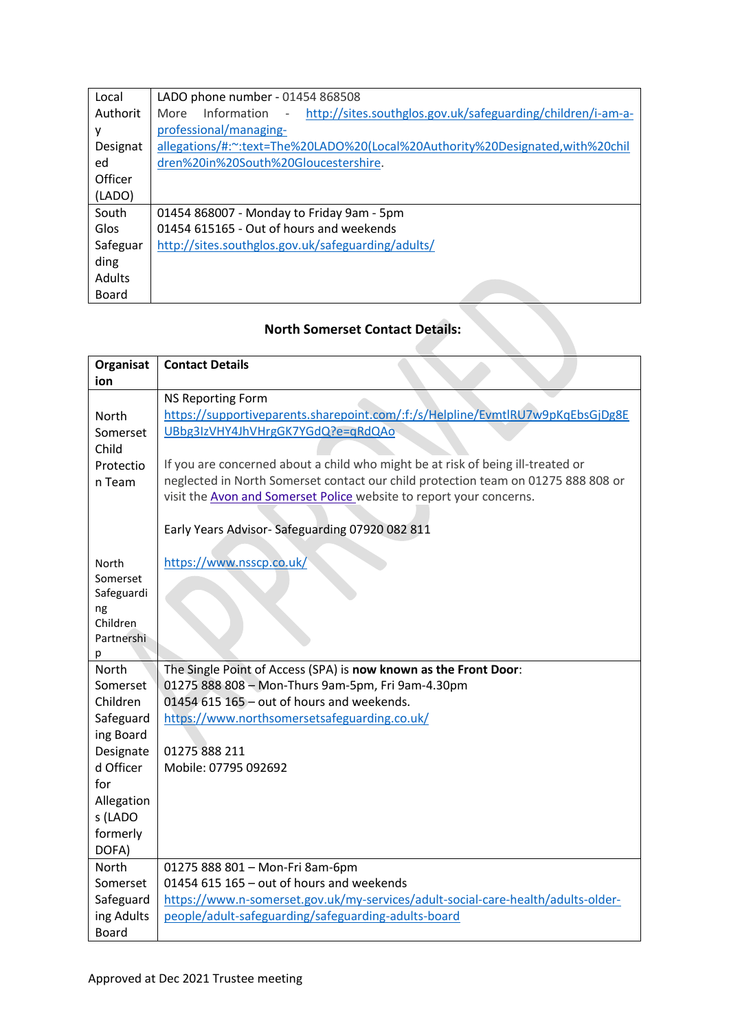| Local         | LADO phone number - 01454 868508                                                                               |
|---------------|----------------------------------------------------------------------------------------------------------------|
| Authorit      | http://sites.southglos.gov.uk/safeguarding/children/i-am-a-<br>Information<br>More<br>$\overline{\phantom{a}}$ |
| ۷             | professional/managing-                                                                                         |
| Designat      | allegations/#:~:text=The%20LADO%20(Local%20Authority%20Designated,with%20chil                                  |
| ed            | dren%20in%20South%20Gloucestershire.                                                                           |
| Officer       |                                                                                                                |
| (LADO)        |                                                                                                                |
| South         | 01454 868007 - Monday to Friday 9am - 5pm                                                                      |
| Glos          | 01454 615165 - Out of hours and weekends                                                                       |
| Safeguar      | http://sites.southglos.gov.uk/safeguarding/adults/                                                             |
| ding          |                                                                                                                |
| <b>Adults</b> |                                                                                                                |
| Board         |                                                                                                                |

# **North Somerset Contact Details:**

| Organisat         | <b>Contact Details</b>                                                            |
|-------------------|-----------------------------------------------------------------------------------|
| ion               |                                                                                   |
|                   | <b>NS Reporting Form</b>                                                          |
| North             | https://supportiveparents.sharepoint.com/:f:/s/Helpline/EvmtlRU7w9pKqEbsGjDg8E    |
| Somerset          | UBbg3IzVHY4JhVHrgGK7YGdQ?e=qRdQAo                                                 |
| Child             |                                                                                   |
| Protectio         | If you are concerned about a child who might be at risk of being ill-treated or   |
| n Team            | neglected in North Somerset contact our child protection team on 01275 888 808 or |
|                   | visit the Avon and Somerset Police website to report your concerns.               |
|                   |                                                                                   |
|                   | Early Years Advisor-Safeguarding 07920 082 811                                    |
|                   |                                                                                   |
| North<br>Somerset | https://www.nsscp.co.uk/                                                          |
| Safeguardi        |                                                                                   |
| ng                |                                                                                   |
| Children          |                                                                                   |
| Partnershi        |                                                                                   |
| р                 |                                                                                   |
| <b>North</b>      | The Single Point of Access (SPA) is now known as the Front Door:                  |
| Somerset          | 01275 888 808 - Mon-Thurs 9am-5pm, Fri 9am-4.30pm                                 |
| Children          | 01454 615 165 - out of hours and weekends.                                        |
| Safeguard         | https://www.northsomersetsafeguarding.co.uk/                                      |
| ing Board         |                                                                                   |
| Designate         | 01275 888 211                                                                     |
| d Officer         | Mobile: 07795 092692                                                              |
| for               |                                                                                   |
| Allegation        |                                                                                   |
| s (LADO           |                                                                                   |
| formerly          |                                                                                   |
| DOFA)             |                                                                                   |
| North             | 01275 888 801 - Mon-Fri 8am-6pm                                                   |
| Somerset          | 01454 615 165 - out of hours and weekends                                         |
| Safeguard         | https://www.n-somerset.gov.uk/my-services/adult-social-care-health/adults-older-  |
| ing Adults        | people/adult-safeguarding/safeguarding-adults-board                               |
| <b>Board</b>      |                                                                                   |